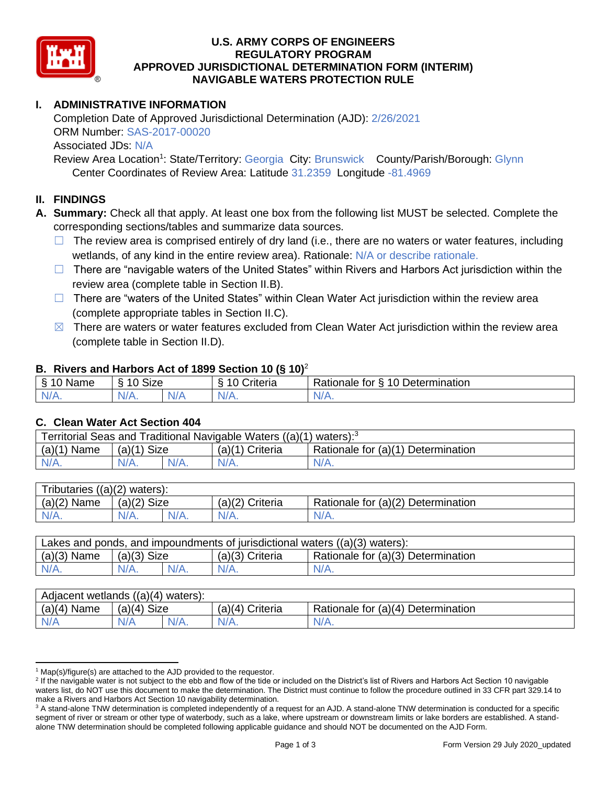

### **U.S. ARMY CORPS OF ENGINEERS APPROVED JURISDICTIONAL DETERMINATION FORM (INTERIM) NAVIGABLE WATERS PROTECTION RULE REGULATORY PROGRAM**

# **I. ADMINISTRATIVE INFORMATION**

Completion Date of Approved Jurisdictional Determination (AJD): 2/26/2021 ORM Number: SAS-2017-00020 Associated JDs: N/A

 Center Coordinates of Review Area: Latitude 31.2359 Longitude -81.4969 Review Area Location<sup>1</sup>: State/Territory: Georgia City: Brunswick County/Parish/Borough: Glynn

#### **II. FINDINGS**

 **A. Summary:** Check all that apply. At least one box from the following list MUST be selected. Complete the corresponding sections/tables and summarize data sources.

- $\Box$  The review area is comprised entirely of dry land (i.e., there are no waters or water features, including wetlands, of any kind in the entire review area). Rationale: N/A or describe rationale.
- □ There are "navigable waters of the United States" within Rivers and Harbors Act jurisdiction within the review area (complete table in Section II.B).
- □ There are "waters of the United States" within Clean Water Act jurisdiction within the review area (complete appropriate tables in Section II.C).
- $\boxtimes$  There are waters or water features excluded from Clean Water Act jurisdiction within the review area (complete table in Section II.D).

#### **B. Rivers and Harbors Act of 1899 Section 10 (§ 10)**<sup>2</sup>

|                |                                       | $\cdot$        |                                  |
|----------------|---------------------------------------|----------------|----------------------------------|
| - ୋ<br>'0 Name | <b>Size</b><br>$\degree$ 10 $\degree$ | Criteria<br>10 | Rationale for § 10 Determination |
| $N/A$ .        | $N/A$ .                               | $N/A$ .        | $N/A$ .                          |
|                |                                       |                |                                  |

#### **C. Clean Water Act Section 404**

| $(a)(1)$ Name<br>Rationale for (a)(1) Determination<br>$(a)(1)$ Size<br>$(a)(1)$ Criteria | Territorial Seas and Traditional Navigable Waters $((a)(1)$ waters): <sup>3</sup> |         |  |         |         |  |
|-------------------------------------------------------------------------------------------|-----------------------------------------------------------------------------------|---------|--|---------|---------|--|
|                                                                                           |                                                                                   |         |  |         |         |  |
|                                                                                           | $N/A$ .                                                                           | $N/A$ . |  | $N/A$ . | $N/A$ . |  |

| Tributaries $((a)(2)$ waters): |               |         |                 |                                    |
|--------------------------------|---------------|---------|-----------------|------------------------------------|
| $(a)(2)$ Name                  | $(a)(2)$ Size |         | (a)(2) Criteria | Rationale for (a)(2) Determination |
| $N/A$ .                        | $N/A$ .       | $N/A$ . | $N/A$ .         | $N/A$ .                            |
|                                |               |         |                 |                                    |

| Lakes and ponds, and impoundments of jurisdictional waters $((a)(3)$ waters): |               |         |                 |                                    |  |  |
|-------------------------------------------------------------------------------|---------------|---------|-----------------|------------------------------------|--|--|
| $(a)(3)$ Name                                                                 | $(a)(3)$ Size |         | (a)(3) Criteria | Rationale for (a)(3) Determination |  |  |
| N/A.                                                                          | $N/A$ .       | $N/A$ . | $N/A$ .         | $N/A$ .                            |  |  |
|                                                                               |               |         |                 |                                    |  |  |

| $(a)(4)$ Name<br>$(a)(4)$ Size<br>Rationale for (a)(4) Determination<br>$(a)(4)$ Criteria | Adjacent wetlands $((a)(4)$ waters): |     |         |         |         |  |  |
|-------------------------------------------------------------------------------------------|--------------------------------------|-----|---------|---------|---------|--|--|
|                                                                                           |                                      |     |         |         |         |  |  |
|                                                                                           | N/A                                  | V/A | $N/A$ . | $N/A$ . | $N/A$ . |  |  |

 $1$  Map(s)/figure(s) are attached to the AJD provided to the requestor.

<sup>&</sup>lt;sup>2</sup> If the navigable water is not subject to the ebb and flow of the tide or included on the District's list of Rivers and Harbors Act Section 10 navigable waters list, do NOT use this document to make the determination. The District must continue to follow the procedure outlined in 33 CFR part 329.14 to make a Rivers and Harbors Act Section 10 navigability determination.

<sup>&</sup>lt;sup>3</sup> A stand-alone TNW determination is completed independently of a request for an AJD. A stand-alone TNW determination is conducted for a specific segment of river or stream or other type of waterbody, such as a lake, where upstream or downstream limits or lake borders are established. A stand-alone TNW determination should be completed following applicable guidance and should NOT be documented on the AJD Form.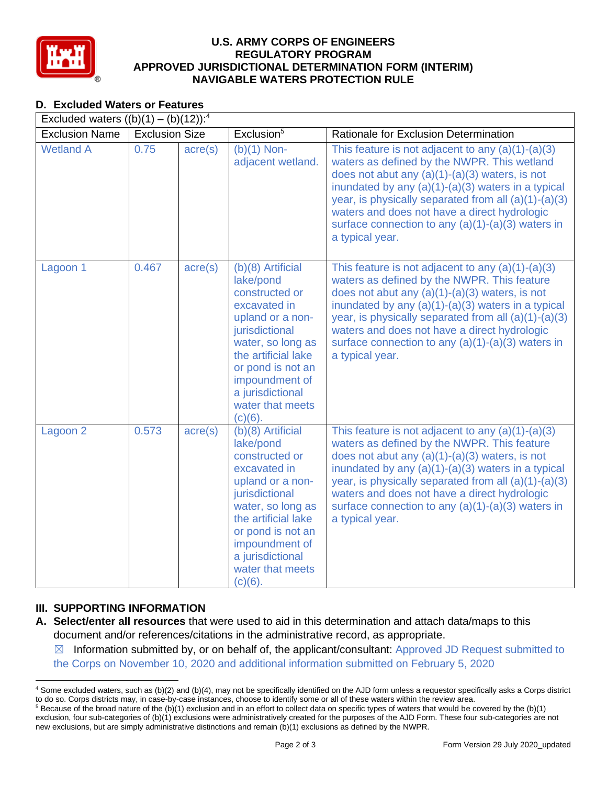

### **U.S. ARMY CORPS OF ENGINEERS APPROVED JURISDICTIONAL DETERMINATION FORM (INTERIM) NAVIGABLE WATERS PROTECTION RULE REGULATORY PROGRAM**

# **D. Excluded Waters or Features**

| D. Excluded waters or Features                      |                       |                  |                                                                                                                                                                                                                                                 |                                                                                                                                                                                                                                                                                                                                                                                                    |
|-----------------------------------------------------|-----------------------|------------------|-------------------------------------------------------------------------------------------------------------------------------------------------------------------------------------------------------------------------------------------------|----------------------------------------------------------------------------------------------------------------------------------------------------------------------------------------------------------------------------------------------------------------------------------------------------------------------------------------------------------------------------------------------------|
| Excluded waters $((b)(1) - (b)(12))$ : <sup>4</sup> |                       |                  |                                                                                                                                                                                                                                                 |                                                                                                                                                                                                                                                                                                                                                                                                    |
| <b>Exclusion Name</b>                               | <b>Exclusion Size</b> |                  | Exclusion <sup>5</sup>                                                                                                                                                                                                                          | Rationale for Exclusion Determination                                                                                                                                                                                                                                                                                                                                                              |
| <b>Wetland A</b>                                    | 0.75                  | $\text{acre}(s)$ | $(b)(1)$ Non-<br>adjacent wetland.                                                                                                                                                                                                              | This feature is not adjacent to any $(a)(1)-(a)(3)$<br>waters as defined by the NWPR. This wetland<br>does not abut any $(a)(1)-(a)(3)$ waters, is not<br>inundated by any $(a)(1)-(a)(3)$ waters in a typical<br>year, is physically separated from all $(a)(1)-(a)(3)$<br>waters and does not have a direct hydrologic<br>surface connection to any $(a)(1)-(a)(3)$ waters in<br>a typical year. |
| Lagoon 1                                            | 0.467                 | $\text{acre}(s)$ | (b)(8) Artificial<br>lake/pond<br>constructed or<br>excavated in<br>upland or a non-<br>jurisdictional<br>water, so long as<br>the artificial lake<br>or pond is not an<br>impoundment of<br>a jurisdictional<br>water that meets<br>$(c)(6)$ . | This feature is not adjacent to any $(a)(1)-(a)(3)$<br>waters as defined by the NWPR. This feature<br>does not abut any $(a)(1)-(a)(3)$ waters, is not<br>inundated by any $(a)(1)-(a)(3)$ waters in a typical<br>year, is physically separated from all $(a)(1)-(a)(3)$<br>waters and does not have a direct hydrologic<br>surface connection to any $(a)(1)-(a)(3)$ waters in<br>a typical year. |
| Lagoon <sub>2</sub>                                 | 0.573                 | $\text{acre}(s)$ | (b)(8) Artificial<br>lake/pond<br>constructed or<br>excavated in<br>upland or a non-<br>jurisdictional<br>water, so long as<br>the artificial lake<br>or pond is not an<br>impoundment of<br>a jurisdictional<br>water that meets<br>$(c)(6)$ . | This feature is not adjacent to any $(a)(1)-(a)(3)$<br>waters as defined by the NWPR. This feature<br>does not abut any $(a)(1)-(a)(3)$ waters, is not<br>inundated by any $(a)(1)-(a)(3)$ waters in a typical<br>year, is physically separated from all $(a)(1)-(a)(3)$<br>waters and does not have a direct hydrologic<br>surface connection to any $(a)(1)-(a)(3)$ waters in<br>a typical year. |

# **III. SUPPORTING INFORMATION**

- **A. Select/enter all resources** that were used to aid in this determination and attach data/maps to this document and/or references/citations in the administrative record, as appropriate.
	- $\boxtimes$  Information submitted by, or on behalf of, the applicant/consultant: Approved JD Request submitted to the Corps on November 10, 2020 and additional information submitted on February 5, 2020

<sup>&</sup>lt;sup>4</sup> Some excluded waters, such as (b)(2) and (b)(4), may not be specifically identified on the AJD form unless a requestor specifically asks a Corps district to do so. Corps districts may, in case-by-case instances, choose to identify some or all of these waters within the review area. to do so. Corps districts may, in case-by-case instances, choose to identify some or all of these waters within the review area.<br><sup>5</sup> Because of the broad nature of the (b)(1) exclusion and in an effort to collect data on s

 exclusion, four sub-categories of (b)(1) exclusions were administratively created for the purposes of the AJD Form. These four sub-categories are not new exclusions, but are simply administrative distinctions and remain (b)(1) exclusions as defined by the NWPR.